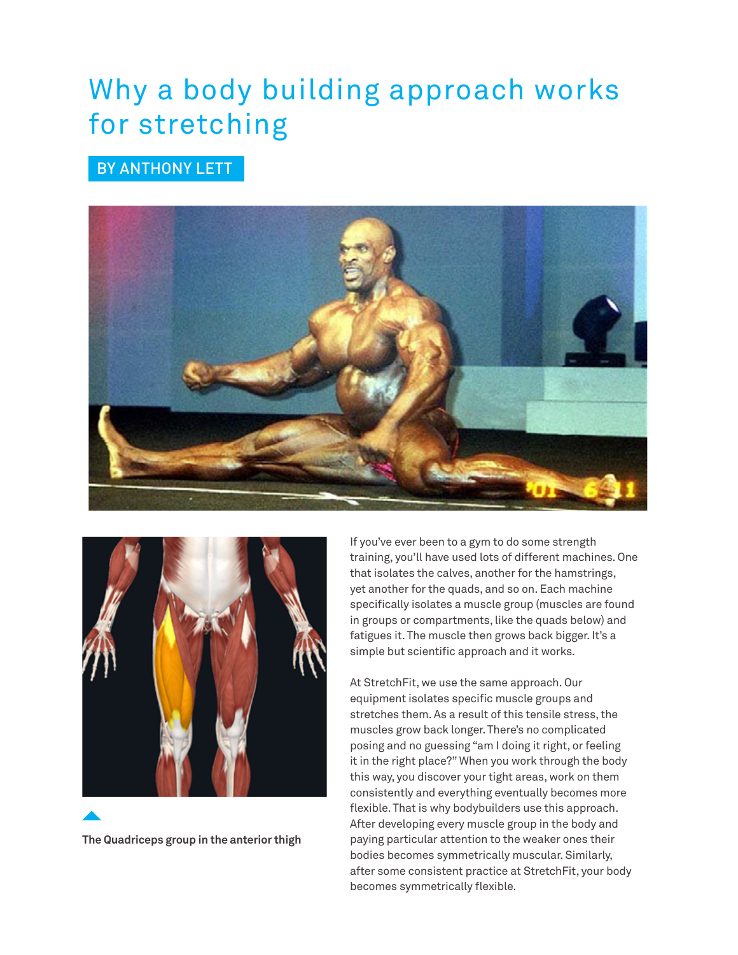## Why a body building approach works for stretching

## BY ANTHONY LETT





**The Quadriceps group in the anterior thigh**

If you've ever been to a gym to do some strength training, you'll have used lots of different machines. One that isolates the calves, another for the hamstrings, yet another for the quads, and so on. Each machine specifically isolates a muscle group (muscles are found in groups or compartments, like the quads below) and fatigues it. The muscle then grows back bigger. It's a simple but scientific approach and it works.

At StretchFit, we use the same approach. Our equipment isolates specific muscle groups and stretches them. As a result of this tensile stress, the muscles grow back longer. There's no complicated posing and no guessing "am I doing it right, or feeling it in the right place?" When you work through the body this way, you discover your tight areas, work on them consistently and everything eventually becomes more flexible. That is why bodybuilders use this approach. After developing every muscle group in the body and paying particular attention to the weaker ones their bodies becomes symmetrically muscular. Similarly, after some consistent practice at StretchFit, your body becomes symmetrically flexible.